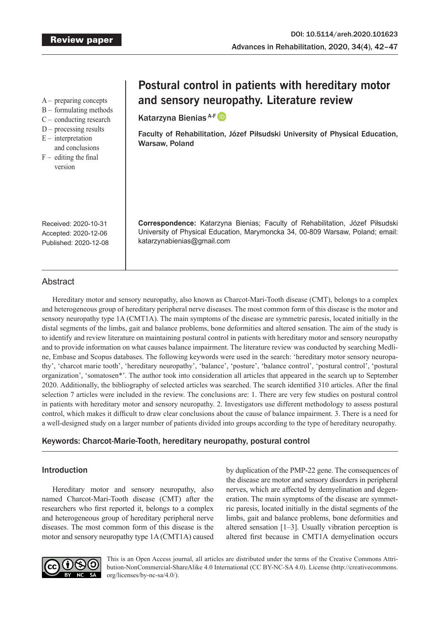A – preparing concepts

- B formulating methods
- C conducting research
- D processing results
- $E$  interpretation
- and conclusions
- $F -$  editing the final version

# **Postural control in patients with hereditary motor and sensory neuropathy. Literature review**

Katarzyna Bienias A-F

Faculty of Rehabilitation, Józef Piłsudski University of Physical Education, Warsaw, Poland

Received: 2020-10-31 Accepted: 2020-12-06 Published: 2020-12-08 **Correspondence:** Katarzyna Bienias; Faculty of Rehabilitation, Józef Piłsudski University of Physical Education, Marymoncka 34, 00-809 Warsaw, Poland; email: katarzynabienias@gmail.com

# Abstract

Hereditary motor and sensory neuropathy, also known as Charcot-Mari-Tooth disease (CMT), belongs to a complex and heterogeneous group of hereditary peripheral nerve diseases. The most common form of this disease is the motor and sensory neuropathy type 1A (CMT1A). The main symptoms of the disease are symmetric paresis, located initially in the distal segments of the limbs, gait and balance problems, bone deformities and altered sensation. The aim of the study is to identify and review literature on maintaining postural control in patients with hereditary motor and sensory neuropathy and to provide information on what causes balance impairment. The literature review was conducted by searching Medline, Embase and Scopus databases. The following keywords were used in the search: 'hereditary motor sensory neuropathy', 'charcot marie tooth', 'hereditary neuropathy', 'balance', 'posture', 'balance control', 'postural control', 'postural organization', 'somatosen\*'. The author took into consideration all articles that appeared in the search up to September 2020. Additionally, the bibliography of selected articles was searched. The search identified 310 articles. After the final selection 7 articles were included in the review. The conclusions are: 1. There are very few studies on postural control in patients with hereditary motor and sensory neuropathy. 2. Investigators use different methodology to assess postural control, which makes it difficult to draw clear conclusions about the cause of balance impairment. 3. There is a need for a well-designed study on a larger number of patients divided into groups according to the type of hereditary neuropathy.

# Keywords: Charcot-Marie-Tooth, hereditary neuropathy, postural control

# Introduction

Hereditary motor and sensory neuropathy, also named Charcot-Mari-Tooth disease (CMT) after the researchers who first reported it, belongs to a complex and heterogeneous group of hereditary peripheral nerve diseases. The most common form of this disease is the motor and sensory neuropathy type 1A (CMT1A) caused

by duplication of the PMP-22 gene. The consequences of the disease are motor and sensory disorders in peripheral nerves, which are affected by demyelination and degeneration. The main symptoms of the disease are symmetric paresis, located initially in the distal segments of the limbs, gait and balance problems, bone deformities and altered sensation [1–3]. Usually vibration perception is altered first because in CMT1A demyelination occurs



This is an Open Access journal, all articles are distributed under the terms of the Creative Commons Attribution-NonCommercial-ShareAlike 4.0 International (CC BY-NC-SA 4.0). License (http://creativecommons. org/licenses/by-nc-sa/4.0/).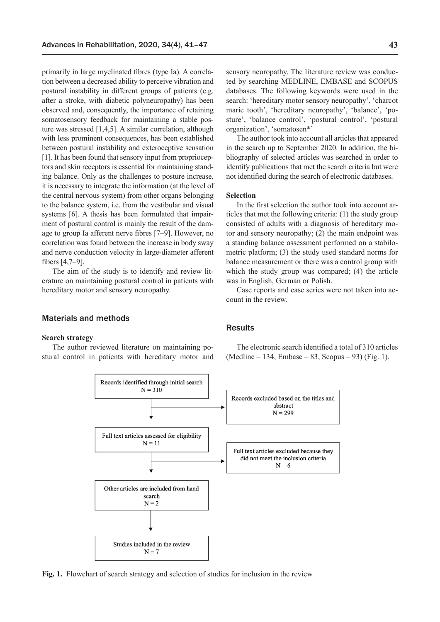primarily in large myelinated fibres (type Ia). A correlation between a decreased ability to perceive vibration and postural instability in different groups of patients (e.g. after a stroke, with diabetic polyneuropathy) has been observed and, consequently, the importance of retaining somatosensory feedback for maintaining a stable posture was stressed [1,4,5]. A similar correlation, although with less prominent consequences, has been established between postural instability and exteroceptive sensation [1]. It has been found that sensory input from proprioceptors and skin receptors is essential for maintaining standing balance. Only as the challenges to posture increase, it is necessary to integrate the information (at the level of the central nervous system) from other organs belonging to the balance system, i.e. from the vestibular and visual systems [6]. A thesis has been formulated that impairment of postural control is mainly the result of the damage to group Ia afferent nerve fibres [7–9]. However, no correlation was found between the increase in body sway and nerve conduction velocity in large-diameter afferent fibers [4,7–9].

The aim of the study is to identify and review literature on maintaining postural control in patients with hereditary motor and sensory neuropathy.

## Materials and methods

#### **Search strategy**

The author reviewed literature on maintaining postural control in patients with hereditary motor and sensory neuropathy. The literature review was conducted by searching MEDLINE, EMBASE and SCOPUS databases. The following keywords were used in the search: 'hereditary motor sensory neuropathy', 'charcot marie tooth', 'hereditary neuropathy', 'balance', 'posture', 'balance control', 'postural control', 'postural organization', 'somatosen\*'

The author took into account all articles that appeared in the search up to September 2020. In addition, the bibliography of selected articles was searched in order to identify publications that met the search criteria but were not identified during the search of electronic databases.

#### **Selection**

In the first selection the author took into account articles that met the following criteria: (1) the study group consisted of adults with a diagnosis of hereditary motor and sensory neuropathy; (2) the main endpoint was a standing balance assessment performed on a stabilometric platform; (3) the study used standard norms for balance measurement or there was a control group with which the study group was compared; (4) the article was in English, German or Polish.

Case reports and case series were not taken into account in the review.

# **Results**

The electronic search identified a total of 310 articles (Medline – 134, Embase – 83, Scopus – 93) (Fig. 1).



**Fig. 1.** Flowchart of search strategy and selection of studies for inclusion in the review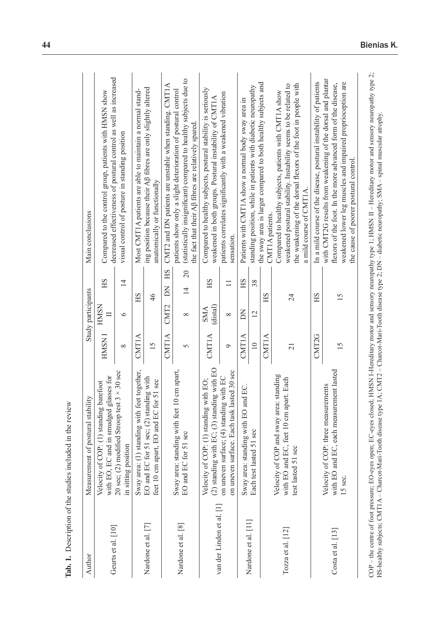| Author                    | Measurement of postural stability                                                                          |                   | Study participants     |                      | Main conclusions                                                                                                                                                                                                                     |
|---------------------------|------------------------------------------------------------------------------------------------------------|-------------------|------------------------|----------------------|--------------------------------------------------------------------------------------------------------------------------------------------------------------------------------------------------------------------------------------|
| Geurts et al. [10]        | with EO, EC and in smudged glasses for<br>Velocity of COP: (1) standing barefoot                           | <b>HMSNI</b>      | <b>HMSN</b><br>$\Box$  | HS                   | decreased effectiveness of postural control as well as increased<br>Compared to the control group, patients with HMSN show                                                                                                           |
|                           | 20 sec; (2) modified Stroop test $3 \times 30$ sec<br>in sitting position                                  | $\infty$          | $\circ$                | $\overline{1}$       | visual control of posture in standing position                                                                                                                                                                                       |
|                           | Sway area: (1) standing with feet together,                                                                | CMT1A             | HS                     |                      | Most CMT1A patients are able to maintain a normal stand-                                                                                                                                                                             |
| Nardone et al. [7]        | EO and EC for 51 sec; (2) standing with<br>51 sec<br>feet 10 cm apart, EO and EC for                       | 15                | 46                     |                      | ing position because their Aß fibres are only slightly altered<br>anatomically or functionally                                                                                                                                       |
|                           |                                                                                                            | CMT1A             | CMT <sub>2</sub>       | HS<br>KQ             | CMT2 and DN patients are unstable when standing. CMT1A                                                                                                                                                                               |
| Nardone et al. [8]        | cm apart,<br>Sway area: standing with feet 10<br>EO and EC for 51 sec                                      | 5                 | $\infty$               | 20<br>$\overline{1}$ | (statistically insignificant) compared to healthy subjects due to<br>patients show only a slight deterioration of postural control<br>the fact that their A <sub>B</sub> fibres are relatively spared                                |
| van der Linden et al. [1] | ng with EO<br>Velocity of COP: (1) standing with EO;<br>$(2)$ standing with EC; $(3)$ standin              | CMT1A             | (distal)<br><b>SMA</b> | HS                   | Compared to healthy subjects, postural stability is seriously<br>weakened in both groups. Postural instability of CMT1A                                                                                                              |
|                           | on uneven surface. Each task lasted 30 sec<br>on uneven surface; (4) standing with EC                      | $\circ$           | $\infty$               | $\Box$               | patients correlates significantly with a weakened vibration<br>sensation.                                                                                                                                                            |
|                           | Sway area: standing with EO and EC.                                                                        | CMT1A             | KO                     | HS                   | Patients with CMT1A show a normal body sway area in                                                                                                                                                                                  |
| Nardone et al. [11]       | Each test lasted 51 sec                                                                                    | $\overline{10}$   | $\overline{2}$         | 38                   | standing position, while in patients with diabetic neuropathy                                                                                                                                                                        |
|                           |                                                                                                            | CMT1A             | HS                     |                      | the sway area is larger compared to both healthy subjects and<br>CMT1A patients.                                                                                                                                                     |
| Tozza et al. $[12]$       | standing<br>with EO and EC, feet 10 cm apart. Each<br>Velocity of COP and sway area:<br>test lasted 51 sec | 21                | $\overline{24}$        |                      | the weakening of the dorsal flexors of the foot in people with<br>weakened postural stability. Instability seems to be related to<br>Compared to healthy subjects, patients with CMT1A show<br>a mild course of CMT1A.               |
|                           |                                                                                                            | CMT <sub>2G</sub> | HS                     |                      | In a mild course of the disease, postural instability of patients                                                                                                                                                                    |
| Costa et al. $[13]$       | with EO and EC, each measurement lasted<br>Velocity of COP: three measurements<br>15 sec.                  | 15                | 15                     |                      | with CMT2G results from weakening of the dorsal and plantar<br>weakened lower leg muscles and impaired proprioception are<br>flexors of the foot. In the more advanced form of the disease,<br>the cause of poorer postural control. |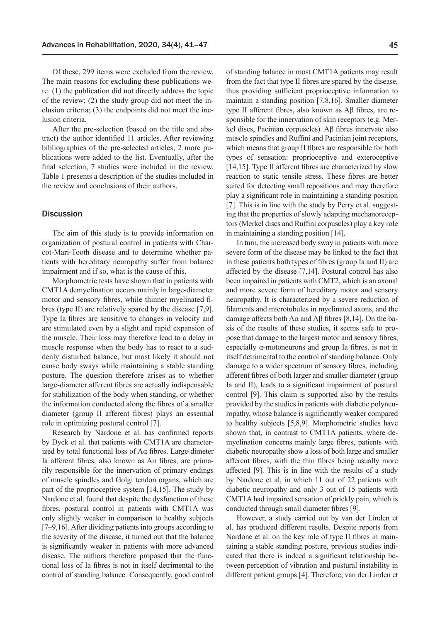Of these, 299 items were excluded from the review. The main reasons for excluding these publications were: (1) the publication did not directly address the topic of the review; (2) the study group did not meet the inclusion criteria; (3) the endpoints did not meet the inclusion criteria.

After the pre-selection (based on the title and abstract) the author identified 11 articles. After reviewing bibliographies of the pre-selected articles, 2 more publications were added to the list. Eventually, after the final selection, 7 studies were included in the review. Table 1 presents a description of the studies included in the review and conclusions of their authors.

## **Discussion**

The aim of this study is to provide information on organization of postural control in patients with Charcot-Mari-Tooth disease and to determine whether patients with hereditary neuropathy suffer from balance impairment and if so, what is the cause of this.

Morphometric tests have shown that in patients with CMT1A demyelination occurs mainly in large-diameter motor and sensory fibres, while thinner myelinated fibres (type II) are relatively spared by the disease [7,9]. Type Ia fibres are sensitive to changes in velocity and are stimulated even by a slight and rapid expansion of the muscle. Their loss may therefore lead to a delay in muscle response when the body has to react to a suddenly disturbed balance, but most likely it should not cause body sways while maintaining a stable standing posture. The question therefore arises as to whether large-diameter afferent fibres are actually indispensable for stabilization of the body when standing, or whether the information conducted along the fibres of a smaller diameter (group II afferent fibres) plays an essential role in optimizing postural control [7].

Research by Nardone et al. has confirmed reports by Dyck et al. that patients with CMT1A are characterized by total functional loss of Aα fibres. Large-dimeter Ia afferent fibres, also known as Aα fibres, are primarily responsible for the innervation of primary endings of muscle spindles and Golgi tendon organs, which are part of the proprioceptive system [14,15]. The study by Nardone et al. found that despite the dysfunction of these fibres, postural control in patients with CMT1A was only slightly weaker in comparison to healthy subjects [7–9,16]. After dividing patients into groups according to the severity of the disease, it turned out that the balance is significantly weaker in patients with more advanced disease. The authors therefore proposed that the functional loss of Ia fibres is not in itself detrimental to the control of standing balance. Consequently, good control of standing balance in most CMT1A patients may result from the fact that type II fibres are spared by the disease, thus providing sufficient proprioceptive information to maintain a standing position [7,8,16]. Smaller diameter type II afferent fibres, also known as Aβ fibres, are responsible for the innervation of skin receptors (e.g. Merkel discs, Pacinian corpuscles). Aβ fibres innervate also muscle spindles and Ruffini and Pacinian joint receptors, which means that group II fibres are responsible for both types of sensation: proprioceptive and exteroceptive [14,15]. Type II afferent fibres are characterized by slow reaction to static tensile stress. These fibres are better suited for detecting small repositions and may therefore play a significant role in maintaining a standing position [7]. This is in line with the study by Perry et al. suggesting that the properties of slowly adapting mechanoreceptors (Merkel discs and Ruffini corpuscles) play a key role in maintaining a standing position [14].

In turn, the increased body sway in patients with more severe form of the disease may be linked to the fact that in these patients both types of fibres (group Ia and II) are affected by the disease [7,14]. Postural control has also been impaired in patients with CMT2, which is an axonal and more severe form of hereditary motor and sensory neuropathy. It is characterized by a severe reduction of filaments and microtubules in myelinated axons, and the damage affects both Aα and Aβ fibres [8,14]. On the basis of the results of these studies, it seems safe to propose that damage to the largest motor and sensory fibres, especially α-motoneurons and group Ia fibres, is not in itself detrimental to the control of standing balance. Only damage to a wider spectrum of sensory fibres, including afferent fibres of both larger and smaller diameter (group Ia and II), leads to a significant impairment of postural control [9]. This claim is supported also by the results provided by the studies in patients with diabetic polyneuropathy, whose balance is significantly weaker compared to healthy subjects [5,8,9]. Morphometric studies have shown that, in contrast to CMT1A patients, where demyelination concerns mainly large fibres, patients with diabetic neuropathy show a loss of both large and smaller afferent fibres, with the thin fibres being usually more affected [9]. This is in line with the results of a study by Nardone et al, in which 11 out of 22 patients with diabetic neuropathy and only 3 out of 15 patients with CMT1A had impaired sensation of prickly pain, which is conducted through small diameter fibres [9].

However, a study carried out by van der Linden et al. has produced different results. Despite reports from Nardone et al. on the key role of type II fibres in maintaining a stable standing posture, previous studies indicated that there is indeed a significant relationship between perception of vibration and postural instability in different patient groups [4]. Therefore, van der Linden et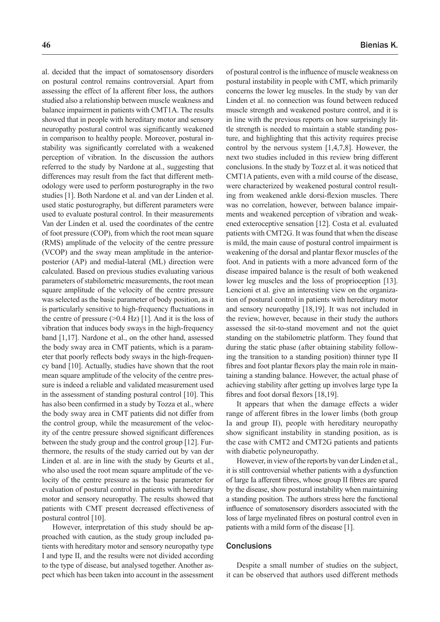al. decided that the impact of somatosensory disorders on postural control remains controversial. Apart from assessing the effect of Ia afferent fiber loss, the authors studied also a relationship between muscle weakness and balance impairment in patients with CMT1A. The results showed that in people with hereditary motor and sensory neuropathy postural control was significantly weakened in comparison to healthy people. Moreover, postural instability was significantly correlated with a weakened perception of vibration. In the discussion the authors referred to the study by Nardone at al., suggesting that differences may result from the fact that different methodology were used to perform posturography in the two studies [1]. Both Nardone et al. and van der Linden et al. used static posturography, but different parameters were used to evaluate postural control. In their measurements Van der Linden et al. used the coordinates of the centre of foot pressure (COP), from which the root mean square (RMS) amplitude of the velocity of the centre pressure (VCOP) and the sway mean amplitude in the anteriorposterior (AP) and medial-lateral (ML) direction were calculated. Based on previous studies evaluating various parameters of stabilometric measurements, the root mean square amplitude of the velocity of the centre pressure was selected as the basic parameter of body position, as it is particularly sensitive to high-frequency fluctuations in the centre of pressure  $(>0.4$  Hz) [1]. And it is the loss of vibration that induces body sways in the high-frequency band [1,17]. Nardone et al., on the other hand, assessed the body sway area in CMT patients, which is a parameter that poorly reflects body sways in the high-frequency band [10]. Actually, studies have shown that the root mean square amplitude of the velocity of the centre pressure is indeed a reliable and validated measurement used in the assessment of standing postural control [10]. This has also been confirmed in a study by Tozza et al., where the body sway area in CMT patients did not differ from the control group, while the measurement of the velocity of the centre pressure showed significant differences between the study group and the control group [12]. Furthermore, the results of the study carried out by van der Linden et al. are in line with the study by Geurts et al., who also used the root mean square amplitude of the velocity of the centre pressure as the basic parameter for evaluation of postural control in patients with hereditary motor and sensory neuropathy. The results showed that patients with CMT present decreased effectiveness of postural control [10].

However, interpretation of this study should be approached with caution, as the study group included patients with hereditary motor and sensory neuropathy type I and type II, and the results were not divided according to the type of disease, but analysed together. Another aspect which has been taken into account in the assessment of postural control is the influence of muscle weakness on postural instability in people with CMT, which primarily concerns the lower leg muscles. In the study by van der Linden et al. no connection was found between reduced muscle strength and weakened posture control, and it is in line with the previous reports on how surprisingly little strength is needed to maintain a stable standing posture, and highlighting that this activity requires precise control by the nervous system [1,4,7,8]. However, the next two studies included in this review bring different conclusions. In the study by Tozz et al. it was noticed that CMT1A patients, even with a mild course of the disease, were characterized by weakened postural control resulting from weakened ankle dorsi-flexion muscles. There was no correlation, however, between balance impairments and weakened perception of vibration and weakened exteroceptive sensation [12]. Costa et al. evaluated patients with CMT2G. It was found that when the disease is mild, the main cause of postural control impairment is weakening of the dorsal and plantar flexor muscles of the foot. And in patients with a more advanced form of the disease impaired balance is the result of both weakened lower leg muscles and the loss of proprioception [13]. Lencioni et al. give an interesting view on the organization of postural control in patients with hereditary motor and sensory neuropathy [18,19]. It was not included in the review, however, because in their study the authors assessed the sit-to-stand movement and not the quiet standing on the stabilometric platform. They found that during the static phase (after obtaining stability following the transition to a standing position) thinner type II fibres and foot plantar flexors play the main role in maintaining a standing balance. However, the actual phase of achieving stability after getting up involves large type Ia fibres and foot dorsal flexors [18,19].

It appears that when the damage effects a wider range of afferent fibres in the lower limbs (both group Ia and group II), people with hereditary neuropathy show significant instability in standing position, as is the case with CMT2 and CMT2G patients and patients with diabetic polyneuropathy.

However, in view of the reports by van der Linden et al., it is still controversial whether patients with a dysfunction of large Ia afferent fibres, whose group II fibres are spared by the disease, show postural instability when maintaining a standing position. The authors stress here the functional influence of somatosensory disorders associated with the loss of large myelinated fibres on postural control even in patients with a mild form of the disease [1].

## **Conclusions**

Despite a small number of studies on the subject, it can be observed that authors used different methods